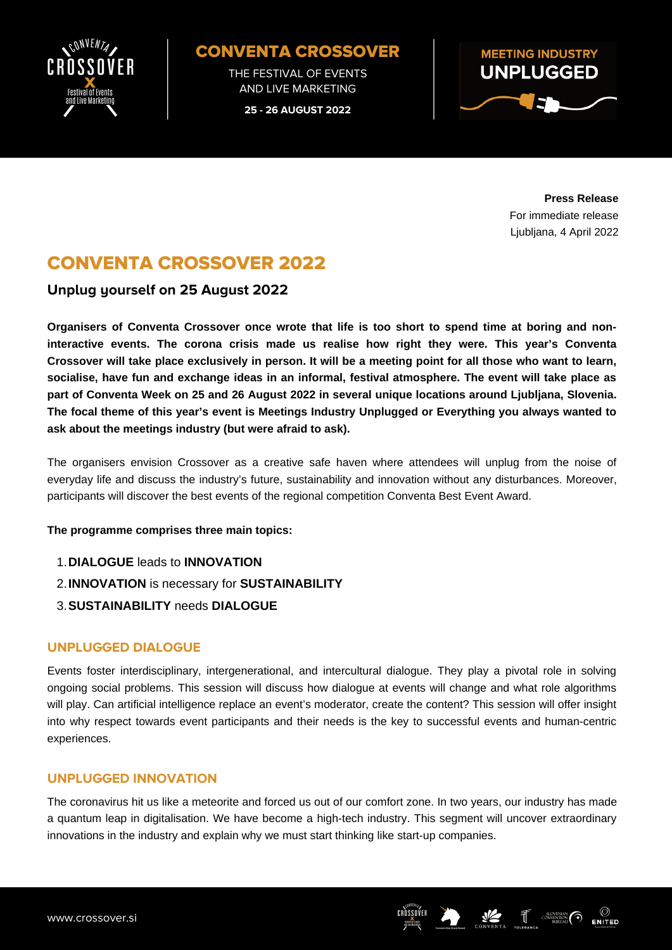

## CONVENTA CROSSOVER

THE FESTIVAL OF EVENTS AND LIVE MARKETING

**25 - 26 AUGUST 2022**



**Press Release** For immediate release Ljubljana, 4 April 2022

# CONVENTA CROSSOVER 2022

### **Unplug yourself on 25 August 2022**

Organisers of Conventa Crossover once wrote that life is too short to spend time at boring and non**interactive events. The corona crisis made us realise how right they were. This year's Conventa** Crossover will take place exclusively in person. It will be a meeting point for all those who want to learn, **socialise, have fun and exchange ideas in an informal, festival [atmosphere.](https://www.crossover.si/) The event will take place as part of Conventa Week on 25 and 26 August 2022 in several unique locations around Ljubljana, Slovenia. The focal theme of this year's event is Meetings Industry Unplugged or Everything you always wanted to ask about the meetings industry (but were afraid to ask).**

The organisers envision Crossover as a creative safe haven where attendees will unplug from the noise of everyday life and discuss the industry's future, sustainability and innovation without any [disturbances.](https://www.crossover.si/) Moreover, participants will discover the best events of the regional competition Conventa Best Event Award[.](https://www.crossover.si/)

#### **The [programme](https://www.crossover.si/) comprises three main topics:**

- **[DIALOGUE](https://www.crossover.si/)** [leads](https://www.crossover.si/) to **[INNOVATION](https://www.crossover.si/)** 1.
- **[INNOVATION](https://www.crossover.si/)** is [necessary](https://www.crossover.si/) for **[SUSTAINABILITY](https://www.crossover.si/)** 2.
- **[SUSTAINABILITY](https://www.crossover.si/)** [needs](https://www.crossover.si/) **[DIALOGUE](https://www.crossover.si/)** 3.

#### **UNPLUGGED DIALOGUE**

Events foster interdisciplinary, intergenerational, and intercultural dialogue. They play a pivotal role in solving ongoing social problems. This session will discuss how dialogue at events will change and what role algorithms will play. Can artificial intelligence replace an event's moderator, create the content? This session will offer insight into why respect towards event participants and their needs is the key to successful events and human-centric experiences.

### **UNPLUGGED INNOVATION**

The coronavirus hit us like a meteorite and forced us out of our comfort zone. In two years, our industry has made a quantum leap in digitalisation. We have become a high-tech industry. This segment will uncover extraordinary innovations in the industry and explain why we must start thinking like start-up companies.

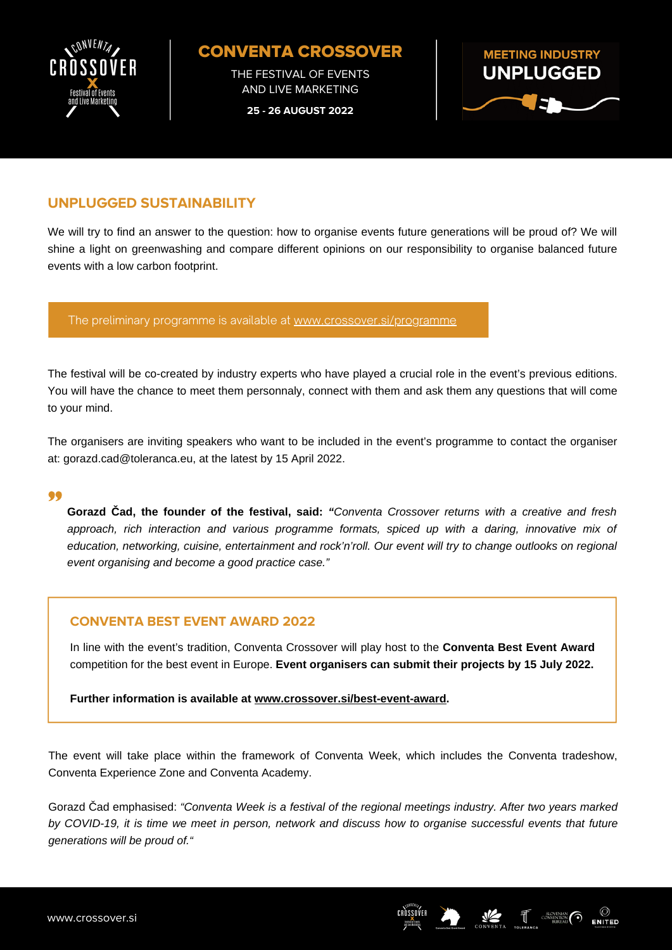

CONVENTA CROSSOVER

THE FESTIVAL OF EVENTS AND LIVE MARKETING

**25 - 26 AUGUST 2022**



## **UNPLUGGED SUSTAINABILITY**

We will try to find an answer to the question: how to organise events future generations will be proud of? We will shine a light on greenwashing and compare different opinions on our responsibility to organise balanced future events with a low carbon footprint.

The preliminary programme is available at [www.crossover.si/programme](https://www.crossover.si/programme/)

The festival will be co-created by industry experts who have played a crucial role in the event's previous editions. You will have the chance to meet them [personnaly,](https://www.crossover.si/) connect with them and ask them any questions that will come to your mind.

The organisers are inviting speakers who want to be included in the event's programme to contact the organiser at: [gorazd.cad@toleranca.eu,](https://www.crossover.si/) at the latest by 15 April 2022[.](https://www.crossover.si/)

#### 99

**Gorazd Čad, the founder of the [festival,](https://www.crossover.si/) said:** *["](https://www.crossover.si/)Conventa Crossover returns with a creative and fresh approach, rich interaction and various programme formats, spiced up with a daring, innovative mix of education, networking, cuisine, [entertainment](https://www.crossover.si/) and rock'n'roll. Our event will try to change outlooks on regional event organising and become a good practice case.["](https://www.crossover.si/)*

#### **CONVENTA BEST EVENT AWARD 2022**

In line with the event's tradition, Conventa [Crossover](https://www.crossover.si/) will play host to the **[Conventa](https://www.crossover.si/) Best Event Award** [competition](https://www.crossover.si/) for the best event in Europe. **Event [organisers](https://www.crossover.si/) can submit their projects by 15 July 2022.**

**Further [information](https://www.crossover.si/) is available at [www.crossover.si/best-event-award](https://www.crossover.si/best-event-award/)[.](https://www.crossover.si/)**

The event will take place within the framework of Conventa Week, which includes the Conventa tradeshow, Conventa [Experience](https://www.crossover.si/) Zone and Conventa Academy[.](https://www.crossover.si/)

Gorazd Čad [emphasised:](https://www.crossover.si/) *"Conventa Week is a festival of the regional meetings industry. After two years marked* by COVID-19, it is time we meet in person, network and discuss how to organise successful events that future *generations will be proud of."*